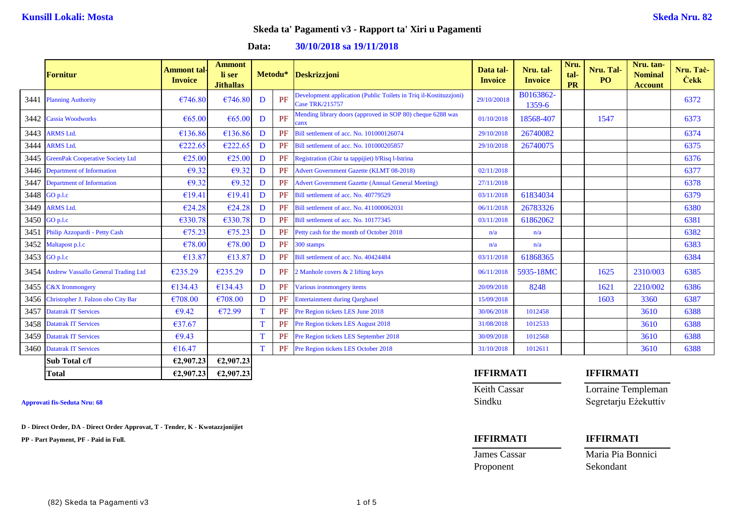### **Data: 30/10/2018 sa 19/11/2018**

|      | <b>Fornitur</b>                          | <b>Ammont tal-</b><br><b>Invoice</b> | <b>Ammont</b><br>li ser<br><b>Jithallas</b> |   |    | Metodu* Deskrizzjoni                                                                 | Data tal-<br><b>Invoice</b> | Nru. tal-<br><b>Invoice</b> | Nru.<br>tal-<br><b>PR</b> | Nru. Tal-<br>P <sub>O</sub> | Nru. tan-<br><b>Nominal</b><br><b>Account</b> | Nru. Tač-<br><b>Cekk</b> |
|------|------------------------------------------|--------------------------------------|---------------------------------------------|---|----|--------------------------------------------------------------------------------------|-----------------------------|-----------------------------|---------------------------|-----------------------------|-----------------------------------------------|--------------------------|
| 3441 | <b>Planning Authority</b>                | €746.80                              | €746.80                                     | D | PF | Development application (Public Toilets in Triq il-Kostituzzjoni)<br>Case TRK/215757 | 29/10/20018                 | B0163862-<br>1359-6         |                           |                             |                                               | 6372                     |
|      | 3442 Cassia Woodworks                    | €65.00                               | €65.00                                      | D | PF | Mending library doors (approved in SOP 80) cheque 6288 was<br>canx                   | 01/10/2018                  | 18568-407                   |                           | 1547                        |                                               | 6373                     |
| 3443 | <b>ARMS Ltd.</b>                         | €136.86                              | €136.86                                     | D | PF | Bill settlement of acc. No. 101000126074                                             | 29/10/2018                  | 26740082                    |                           |                             |                                               | 6374                     |
| 3444 | <b>ARMS Ltd.</b>                         | €222.65                              | €222.65                                     | D | PF | Bill settlement of acc. No. 101000205857                                             | 29/10/2018                  | 26740075                    |                           |                             |                                               | 6375                     |
| 3445 | <b>GreenPak Cooperative Society Ltd</b>  | €25.00                               | €25.00                                      | D | PF | Registration (Gbir ta tappijiet) b'Risq l-Istrina                                    |                             |                             |                           |                             |                                               | 6376                     |
|      | 3446 Department of Information           | $\epsilon$ 9.32                      | $\epsilon$ 9.32                             | D | PF | <b>Advert Government Gazette (KLMT 08-2018)</b>                                      | 02/11/2018                  |                             |                           |                             |                                               | 6377                     |
| 3447 | Department of Information                | €9.32                                | €9.32                                       | D | PF | <b>Advert Government Gazette (Annual General Meeting)</b>                            | 27/11/2018                  |                             |                           |                             |                                               | 6378                     |
|      | 3448 GO p.l.c                            | €19.41                               | €19.41                                      | D | PF | Bill settlement of acc. No. 40779529                                                 | 03/11/2018                  | 61834034                    |                           |                             |                                               | 6379                     |
| 3449 | <b>ARMS Ltd.</b>                         | €24.28                               | €24.28                                      | D | PF | Bill settlement of acc. No. 411000062031                                             | 06/11/2018                  | 26783326                    |                           |                             |                                               | 6380                     |
|      | 3450 GO p.l.c                            | €330.78                              | €330.78                                     | D | PF | Bill settlement of acc. No. 10177345                                                 | 03/11/2018                  | 61862062                    |                           |                             |                                               | 6381                     |
| 3451 | Philip Azzopardi - Petty Cash            | €75.23                               | €75.23                                      | D | PF | Petty cash for the month of October 2018                                             | n/a                         | n/a                         |                           |                             |                                               | 6382                     |
|      | 3452 Maltapost p.l.c                     | €78.00                               | €78.00                                      | D | PF | 300 stamps                                                                           | n/a                         | n/a                         |                           |                             |                                               | 6383                     |
|      | 3453 GO p.l.c                            | €13.87                               | €13.87                                      | D | PF | Bill settlement of acc. No. 40424484                                                 | 03/11/2018                  | 61868365                    |                           |                             |                                               | 6384                     |
|      | 3454 Andrew Vassallo General Trading Ltd | €235.29                              | €235.29                                     | D | PF | 2 Manhole covers & 2 lifting keys                                                    | 06/11/2018                  | 5935-18MC                   |                           | 1625                        | 2310/003                                      | 6385                     |
| 3455 | <b>C&amp;X</b> Ironmongery               | €134.43                              | €134.43                                     | D | PF | Various ironmongery items                                                            | 20/09/2018                  | 8248                        |                           | 1621                        | 2210/002                                      | 6386                     |
|      | 3456 Christopher J. Falzon obo City Bar  | €708.00                              | €708.00                                     | D | PF | <b>Entertainment during Qarghasel</b>                                                | 15/09/2018                  |                             |                           | 1603                        | 3360                                          | 6387                     |
| 3457 | <b>Datatrak IT Services</b>              | €9.42                                | €72.99                                      | T | PF | Pre Region tickets LES June 2018                                                     | 30/06/2018                  | 1012458                     |                           |                             | 3610                                          | 6388                     |
| 3458 | <b>Datatrak IT Services</b>              | €37.67                               |                                             |   | PF | Pre Region tickets LES August 2018                                                   | 31/08/2018                  | 1012533                     |                           |                             | 3610                                          | 6388                     |
|      | 3459 Datatrak IT Services                | €9.43                                |                                             |   | PF | Pre Region tickets LES September 2018                                                | 30/09/2018                  | 1012568                     |                           |                             | 3610                                          | 6388                     |
|      | 3460 Datatrak IT Services                | €16.47                               |                                             |   | PF | Pre Region tickets LES October 2018                                                  | 31/10/2018                  | 1012611                     |                           |                             | 3610                                          | 6388                     |
|      | Sub Total c/f                            | €2,907.23                            | €2,907.23                                   |   |    |                                                                                      |                             |                             |                           |                             |                                               |                          |

**D - Direct Order, DA - Direct Order Approvat, T - Tender, K - Kwotazzjonijiet**

**PP - Part Payment, PF - Paid in Full. IFFIRMATI IFFIRMATI**

### **Total €2,907.23 €2,907.23 IFFIRMATI IFFIRMATI**

Keith Cassar Lorraine Templeman **Approvati fis-Seduta Nru: 68** Sindku Segretarju Eżekuttiv

Proponent Sekondant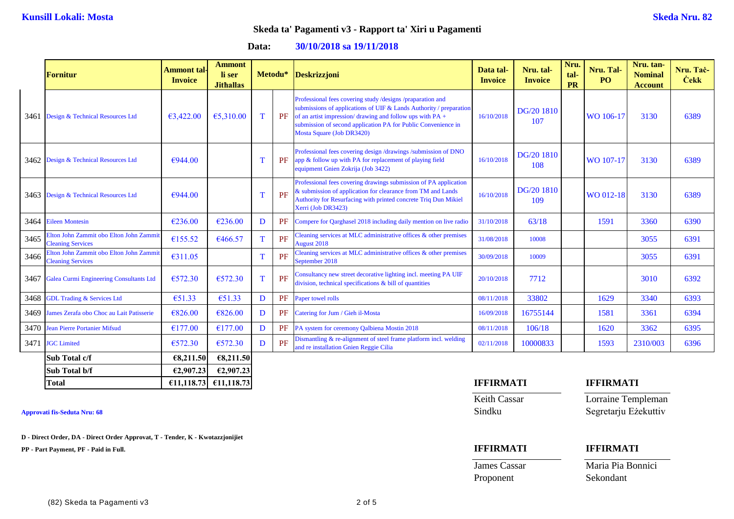**Data: 30/10/2018 sa 19/11/2018**

|      | <b>Fornitur</b>                                                     | <b>Ammont</b> tal-<br><b>Invoice</b> | <b>Ammont</b><br>li ser<br><b>Jithallas</b> |   | Metodu* | Deskrizzjoni                                                                                                                                                                                                                                                                               | Data tal-<br><b>Invoice</b> | Nru. tal-<br><b>Invoice</b> | Nru.<br>tal-<br>PR | Nru. Tal-<br><b>PO</b> | Nru. tan-<br><b>Nominal</b><br><b>Account</b> | Nru. Taċ-<br><b>Cekk</b> |
|------|---------------------------------------------------------------------|--------------------------------------|---------------------------------------------|---|---------|--------------------------------------------------------------------------------------------------------------------------------------------------------------------------------------------------------------------------------------------------------------------------------------------|-----------------------------|-----------------------------|--------------------|------------------------|-----------------------------------------------|--------------------------|
|      | 3461 Design & Technical Resources Ltd                               | €3,422.00                            | €5,310.00                                   | T | PF      | Professional fees covering study /designs /praparation and<br>submissions of applications of UIF & Lands Authority / preparation<br>of an artist impression/drawing and follow ups with PA +<br>submission of second application PA for Public Convenience in<br>Mosta Square (Job DR3420) | 16/10/2018                  | DG/20 1810<br>107           |                    | WO 106-17              | 3130                                          | 6389                     |
|      | 3462 Design & Technical Resources Ltd                               | €944.00                              |                                             | T | PF      | Professional fees covering design /drawings /submission of DNO<br>app & follow up with PA for replacement of playing field<br>equipment Gnien Zokrija (Job 3422)                                                                                                                           | 16/10/2018                  | DG/20 1810<br>108           |                    | WO 107-17              | 3130                                          | 6389                     |
|      | 3463 Design & Technical Resources Ltd                               | €944.00                              |                                             | T | PF      | Professional fees covering drawings submission of PA application<br>& submission of application for clearance from TM and Lands<br>Authority for Resurfacing with printed concrete Triq Dun Mikiel<br>Xerri (Job DR3423)                                                                   | 16/10/2018                  | DG/20 1810<br>109           |                    | WO 012-18              | 3130                                          | 6389                     |
|      | 3464 Eileen Montesin                                                | €236.00                              | €236.00                                     | D | PF      | Compere for Qarghasel 2018 including daily mention on live radio                                                                                                                                                                                                                           | 31/10/2018                  | 63/18                       |                    | 1591                   | 3360                                          | 6390                     |
| 3465 | Elton John Zammit obo Elton John Zammit<br><b>Cleaning Services</b> | €155.52                              | €466.57                                     | T | PF      | Cleaning services at MLC administrative offices & other premises<br><b>August 2018</b>                                                                                                                                                                                                     | 31/08/2018                  | 10008                       |                    |                        | 3055                                          | 6391                     |
| 3466 | Elton John Zammit obo Elton John Zammit<br><b>Cleaning Services</b> | €311.05                              |                                             | T | PF      | Cleaning services at MLC administrative offices $\&$ other premises<br>September 2018                                                                                                                                                                                                      | 30/09/2018                  | 10009                       |                    |                        | 3055                                          | 6391                     |
| 3467 | Galea Curmi Engineering Consultants Ltd                             | €572.30                              | €572.30                                     | T | PF      | Consultancy new street decorative lighting incl. meeting PA UIF<br>division, technical specifications & bill of quantities                                                                                                                                                                 | 20/10/2018                  | 7712                        |                    |                        | 3010                                          | 6392                     |
|      | 3468 GDL Trading & Services Ltd                                     | €51.33                               | €51.33                                      | D | PF      | Paper towel rolls                                                                                                                                                                                                                                                                          | 08/11/2018                  | 33802                       |                    | 1629                   | 3340                                          | 6393                     |
|      | 3469 James Zerafa obo Choc au Lait Patisserie                       | €826.00                              | €826.00                                     | D | PF      | Catering for Jum / Gieh il-Mosta                                                                                                                                                                                                                                                           | 16/09/2018                  | 16755144                    |                    | 1581                   | 3361                                          | 6394                     |
|      | 3470 Jean Pierre Portanier Mifsud                                   | €177.00                              | €177.00                                     | D | PF      | PA system for ceremony Qalbiena Mostin 2018                                                                                                                                                                                                                                                | 08/11/2018                  | 106/18                      |                    | 1620                   | 3362                                          | 6395                     |
|      | 3471 JGC Limited                                                    | €572.30                              | €572.30                                     | D | PF      | Dismantling $&$ re-alignment of steel frame platform incl. welding<br>and re installation Gnien Reggie Cilia                                                                                                                                                                               | 02/11/2018                  | 10000833                    |                    | 1593                   | 2310/003                                      | 6396                     |
|      | Sub Total c/f                                                       | €8,211.50                            | €8,211.50                                   |   |         |                                                                                                                                                                                                                                                                                            |                             |                             |                    |                        |                                               |                          |
|      | Sub Total b/f                                                       | €2,907.23                            | €2,907.23                                   |   |         |                                                                                                                                                                                                                                                                                            |                             |                             |                    |                        |                                               |                          |

**D - Direct Order, DA - Direct Order Approvat, T - Tender, K - Kwotazzjonijiet**

**PP - Part Payment, PF - Paid in Full. IFFIRMATI IFFIRMATI**

| <b>Total</b> | $€11.118.73$ €11.118.73 | <b>IFFIRMATI</b> | <b>IFFIRMATI</b> |
|--------------|-------------------------|------------------|------------------|
|              |                         |                  |                  |

Keith Cassar Lorraine Templeman

**Approvati fis-Seduta Nru: 68** Sindku Segretarju Eżekuttiv

Proponent Sekondant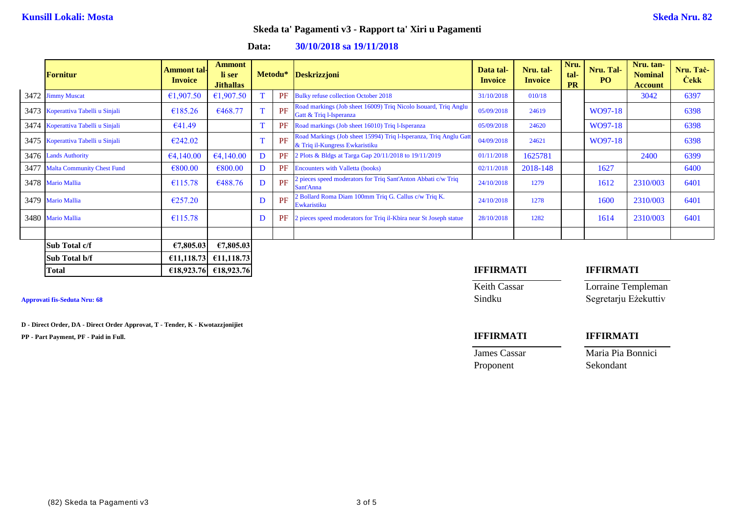**Data: 30/10/2018 sa 19/11/2018**

|      | <b>Fornitur</b>                    | <b>Ammont tal-</b><br><b>Invoice</b> | <b>Ammont</b><br>li ser<br><b>Jithallas</b> |              |    | Metodu* Deskrizzjoni                                                                                | Data tal-<br><b>Invoice</b> | Nru. tal-<br><b>Invoice</b> | Nru.<br>tal-<br><b>PR</b> | Nru. Tal-<br>PO. | Nru. tan-<br><b>Nominal</b><br><b>Account</b> | Nru. Tač-<br><b>Cekk</b> |
|------|------------------------------------|--------------------------------------|---------------------------------------------|--------------|----|-----------------------------------------------------------------------------------------------------|-----------------------------|-----------------------------|---------------------------|------------------|-----------------------------------------------|--------------------------|
|      | 3472 Jimmy Muscat                  | €1,907.50                            | €1,907.50                                   |              | PF | <b>Bulky refuse collection October 2018</b>                                                         | 31/10/2018                  | 010/18                      |                           |                  | 3042                                          | 6397                     |
|      | 3473 Koperattiva Tabelli u Sinjali | €185.26                              | €468.77                                     | T.           | PF | Road markings (Job sheet 16009) Triq Nicolo Isouard, Triq Anglu<br>Gatt & Triq 1-Isperanza          | 05/09/2018                  | 24619                       |                           | WO97-18          |                                               | 6398                     |
|      | 3474 Koperattiva Tabelli u Sinjali | €41.49                               |                                             |              | PF | Road markings (Job sheet 16010) Triq l-Isperanza                                                    | 05/09/2018                  | 24620                       |                           | WO97-18          |                                               | 6398                     |
|      | 3475 Koperattiva Tabelli u Sinjali | €242.02                              |                                             | $\mathbf{T}$ | PF | Road Markings (Job sheet 15994) Triq l-Isperanza, Triq Anglu Gatt<br>& Triq il-Kungress Ewkaristiku | 04/09/2018                  | 24621                       |                           | WO97-18          |                                               | 6398                     |
|      | 3476 Lands Authority               | €4,140.00                            | €4,140.00                                   | D            | PF | 2 Plots & Bldgs at Targa Gap 20/11/2018 to 19/11/2019                                               | 01/11/2018                  | 1625781                     |                           |                  | 2400                                          | 6399                     |
| 3477 | <b>Malta Community Chest Fund</b>  | €800.00                              | €800.00                                     | D            | PF | <b>Encounters with Valletta (books)</b>                                                             | 02/11/2018                  | 2018-148                    |                           | 1627             |                                               | 6400                     |
|      | 3478 Mario Mallia                  | €115.78                              | €488.76                                     | D            | PF | 2 pieces speed moderators for Triq Sant'Anton Abbati c/w Triq<br>Sant'Anna                          | 24/10/2018                  | 1279                        |                           | 1612             | 2310/003                                      | 6401                     |
|      | 3479 Mario Mallia                  | €257.20                              |                                             | D            | PF | 2 Bollard Roma Diam 100mm Triq G. Callus c/w Triq K.<br>Ewkaristiku                                 | 24/10/2018                  | 1278                        |                           | 1600             | 2310/003                                      | 6401                     |
|      | 3480 Mario Mallia                  | €115.78                              |                                             | D            | PF | 2 pieces speed moderators for Triq il-Kbira near St Joseph statue                                   | 28/10/2018                  | 1282                        |                           | 1614             | 2310/003                                      | 6401                     |
|      |                                    |                                      |                                             |              |    |                                                                                                     |                             |                             |                           |                  |                                               |                          |
|      | Sub Total c/f                      | €7,805.03                            | €7,805.03                                   |              |    |                                                                                                     |                             |                             |                           |                  |                                               |                          |
|      | Sub Total b/f                      | €11,118.73                           | €11,118.73                                  |              |    |                                                                                                     |                             |                             |                           |                  |                                               |                          |
|      | Total                              |                                      | €18,923.76 €18,923.76                       |              |    |                                                                                                     | <b>IFFIRMATI</b>            |                             | <b>IFFIRMATI</b>          |                  |                                               |                          |

**D - Direct Order, DA - Direct Order Approvat, T - Tender, K - Kwotazzjonijiet**

**PP - Part Payment, PF - Paid in Full. IFFIRMATI IFFIRMATI**

Keith Cassar **Lorraine Templeman Approvati fis-Seduta Nru: 68** Sindku Segretarju Eżekuttiv

Proponent Sekondant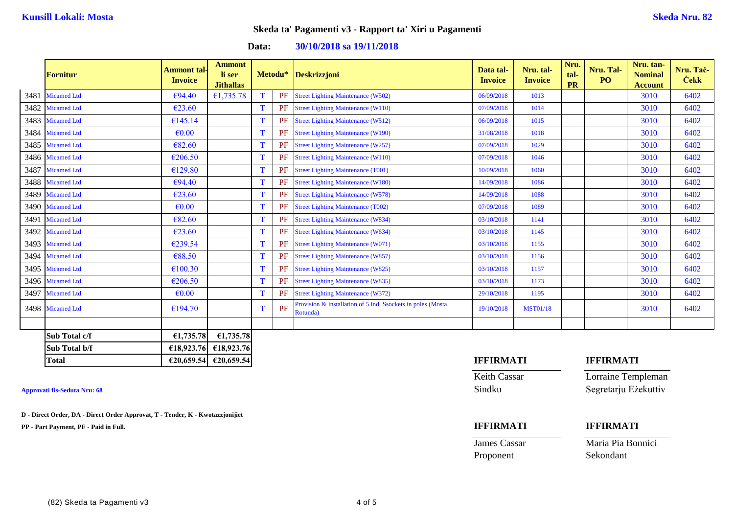**Data: 30/10/2018 sa 19/11/2018**

|      | Fornitur           | <b>Ammont tal</b><br><b>Invoice</b> | <b>Ammont</b><br>li ser<br><b>Jithallas</b> |   |    | Metodu* Deskrizzjoni                                                    | Data tal-<br><b>Invoice</b> | Nru. tal-<br><b>Invoice</b> | Nru.<br>tal-<br>PR | Nru. Tal-<br>PO  | Nru. tan-<br><b>Nominal</b><br><b>Account</b> | Nru. Tač-<br><b>Cekk</b> |
|------|--------------------|-------------------------------------|---------------------------------------------|---|----|-------------------------------------------------------------------------|-----------------------------|-----------------------------|--------------------|------------------|-----------------------------------------------|--------------------------|
| 3481 | <b>Micamed Ltd</b> | €94.40                              | €1,735.78                                   | T | PF | Street Lighting Maintenance (W502)                                      | 06/09/2018                  | 1013                        |                    |                  | 3010                                          | 6402                     |
| 3482 | <b>Micamed Ltd</b> | €23.60                              |                                             | T | PF | <b>Street Lighting Maintenance (W110)</b>                               | 07/09/2018                  | 1014                        |                    |                  | 3010                                          | 6402                     |
| 3483 | <b>Micamed Ltd</b> | €145.14                             |                                             | T | PF | <b>Street Lighting Maintenance (W512)</b>                               | 06/09/2018                  | 1015                        |                    |                  | 3010                                          | 6402                     |
| 3484 | <b>Micamed Ltd</b> | $\epsilon$ <sub>0.00</sub>          |                                             | T | PF | <b>Street Lighting Maintenance (W190)</b>                               | 31/08/2018                  | 1018                        |                    |                  | 3010                                          | 6402                     |
| 3485 | <b>Micamed Ltd</b> | €82.60                              |                                             | T | PF | <b>Street Lighting Maintenance (W257)</b>                               | 07/09/2018                  | 1029                        |                    |                  | 3010                                          | 6402                     |
| 3486 | <b>Micamed Ltd</b> | €206.50                             |                                             | T | PF | <b>Street Lighting Maintenance (W110)</b>                               | 07/09/2018                  | 1046                        |                    |                  | 3010                                          | 6402                     |
| 3487 | <b>Micamed Ltd</b> | €129.80                             |                                             | T | PF | <b>Street Lighting Maintenance (T001)</b>                               | 10/09/2018                  | 1060                        |                    |                  | 3010                                          | 6402                     |
| 3488 | <b>Micamed Ltd</b> | €94.40                              |                                             | T | PF | <b>Street Lighting Maintenance (W180)</b>                               | 14/09/2018                  | 1086                        |                    |                  | 3010                                          | 6402                     |
| 3489 | <b>Micamed Ltd</b> | €23.60                              |                                             | T | PF | <b>Street Lighting Maintenance (W578)</b>                               | 14/09/2018                  | 1088                        |                    |                  | 3010                                          | 6402                     |
| 3490 | <b>Micamed Ltd</b> | $\epsilon$ <sub>0.00</sub>          |                                             | T | PF | <b>Street Lighting Maintenance (T002)</b>                               | 07/09/2018                  | 1089                        |                    |                  | 3010                                          | 6402                     |
| 3491 | <b>Micamed Ltd</b> | €82.60                              |                                             | T | PF | <b>Street Lighting Maintenance (W834)</b>                               | 03/10/2018                  | 1141                        |                    |                  | 3010                                          | 6402                     |
| 3492 | <b>Micamed Ltd</b> | €23.60                              |                                             | T | PF | <b>Street Lighting Maintenance (W634)</b>                               | 03/10/2018                  | 1145                        |                    |                  | 3010                                          | 6402                     |
| 3493 | <b>Micamed Ltd</b> | €239.54                             |                                             | T | PF | <b>Street Lighting Maintenance (W071)</b>                               | 03/10/2018                  | 1155                        |                    |                  | 3010                                          | 6402                     |
| 3494 | <b>Micamed Ltd</b> | €88.50                              |                                             | T | PF | <b>Street Lighting Maintenance (W857)</b>                               | 03/10/2018                  | 1156                        |                    |                  | 3010                                          | 6402                     |
| 3495 | <b>Micamed Ltd</b> | €100.30                             |                                             | T | PF | <b>Street Lighting Maintenance (W825)</b>                               | 03/10/2018                  | 1157                        |                    |                  | 3010                                          | 6402                     |
| 3496 | <b>Micamed Ltd</b> | €206.50                             |                                             | T | PF | <b>Street Lighting Maintenance (W835)</b>                               | 03/10/2018                  | 1173                        |                    |                  | 3010                                          | 6402                     |
| 3497 | <b>Micamed Ltd</b> | $\epsilon$ <sub>0.00</sub>          |                                             |   | PF | <b>Street Lighting Maintenance (W372)</b>                               | 29/10/2018                  | 1195                        |                    |                  | 3010                                          | 6402                     |
|      | 3498 Micamed Ltd   | €194.70                             |                                             | T | PF | Provision & Installation of 5 Ind. Ssockets in poles (Mosta<br>Rotunda) | 19/10/2018                  | <b>MST01/18</b>             |                    |                  | 3010                                          | 6402                     |
|      |                    |                                     |                                             |   |    |                                                                         |                             |                             |                    |                  |                                               |                          |
|      | Sub Total c/f      | €1,735.78                           | €1,735.78                                   |   |    |                                                                         |                             |                             |                    |                  |                                               |                          |
|      | Sub Total b/f      | €18,923.76                          | €18,923.76                                  |   |    |                                                                         |                             |                             |                    |                  |                                               |                          |
|      | <b>Total</b>       |                                     | €20,659.54 €20,659.54                       |   |    |                                                                         | <b>IFFIRMATI</b>            |                             |                    | <b>IFFIRMATI</b> |                                               |                          |

**D - Direct Order, DA - Direct Order Approvat, T - Tender, K - Kwotazzjonijiet**

**PP - Part Payment, PF - Paid in Full. IFFIRMATI IFFIRMATI**

Keith Cassar Lorraine Templeman **Approvati fis-Seduta Nru: 68** Sindku Segretarju Eżekuttiv

James Cassar Maria Pia Bonnici

Proponent Sekondant